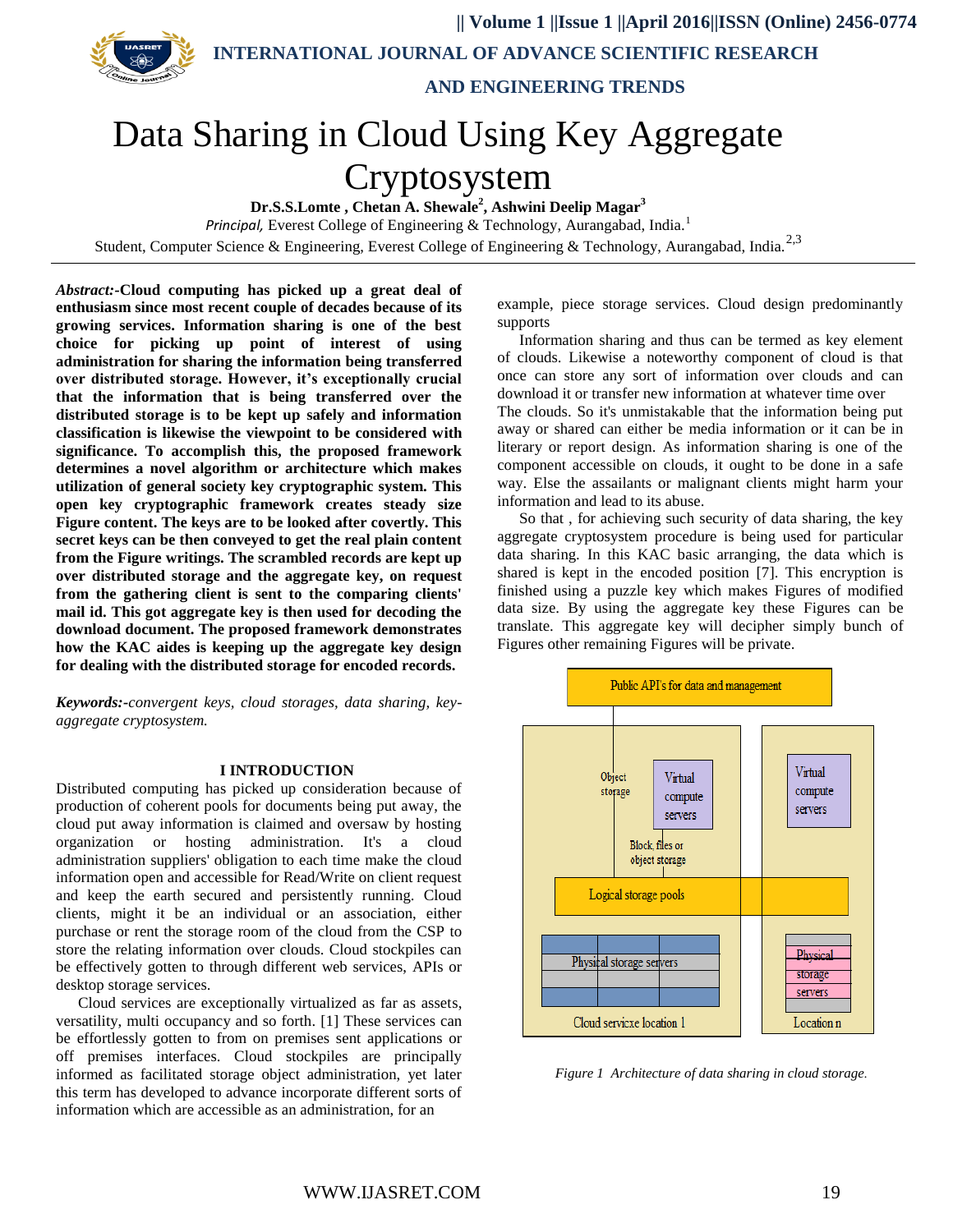**|| Volume 1 ||Issue 1 ||April 2016||ISSN (Online) 2456-0774 INTERNATIONAL JOURNAL OF ADVANCE SCIENTIFIC RESEARCH** 



 **AND ENGINEERING TRENDS**

# Data Sharing in Cloud Using Key Aggregate

# Cryptosystem

**Dr.S.S.Lomte , Chetan A. Shewale<sup>2</sup> , Ashwini Deelip Magar<sup>3</sup>**

*Principal,* Everest College of Engineering & Technology, Aurangabad, India.<sup>1</sup> Student, Computer Science & Engineering, Everest College of Engineering & Technology, Aurangabad, India.<sup>2,3</sup>

*Abstract:-***Cloud computing has picked up a great deal of enthusiasm since most recent couple of decades because of its growing services. Information sharing is one of the best choice for picking up point of interest of using administration for sharing the information being transferred over distributed storage. However, it's exceptionally crucial that the information that is being transferred over the distributed storage is to be kept up safely and information classification is likewise the viewpoint to be considered with significance. To accomplish this, the proposed framework determines a novel algorithm or architecture which makes utilization of general society key cryptographic system. This open key cryptographic framework creates steady size Figure content. The keys are to be looked after covertly. This secret keys can be then conveyed to get the real plain content from the Figure writings. The scrambled records are kept up over distributed storage and the aggregate key, on request from the gathering client is sent to the comparing clients' mail id. This got aggregate key is then used for decoding the download document. The proposed framework demonstrates how the KAC aides is keeping up the aggregate key design for dealing with the distributed storage for encoded records.**

*Keywords:-convergent keys, cloud storages, data sharing, keyaggregate cryptosystem.*

#### **I INTRODUCTION**

Distributed computing has picked up consideration because of production of coherent pools for documents being put away, the cloud put away information is claimed and oversaw by hosting organization or hosting administration. It's a cloud administration suppliers' obligation to each time make the cloud information open and accessible for Read/Write on client request and keep the earth secured and persistently running. Cloud clients, might it be an individual or an association, either purchase or rent the storage room of the cloud from the CSP to store the relating information over clouds. Cloud stockpiles can be effectively gotten to through different web services, APIs or desktop storage services.

Cloud services are exceptionally virtualized as far as assets, versatility, multi occupancy and so forth. [1] These services can be effortlessly gotten to from on premises sent applications or off premises interfaces. Cloud stockpiles are principally informed as facilitated storage object administration, yet later this term has developed to advance incorporate different sorts of information which are accessible as an administration, for an

example, piece storage services. Cloud design predominantly supports

Information sharing and thus can be termed as key element of clouds. Likewise a noteworthy component of cloud is that once can store any sort of information over clouds and can download it or transfer new information at whatever time over The clouds. So it's unmistakable that the information being put away or shared can either be media information or it can be in literary or report design. As information sharing is one of the component accessible on clouds, it ought to be done in a safe way. Else the assailants or malignant clients might harm your information and lead to its abuse.

So that , for achieving such security of data sharing, the key aggregate cryptosystem procedure is being used for particular data sharing. In this KAC basic arranging, the data which is shared is kept in the encoded position [7]. This encryption is finished using a puzzle key which makes Figures of modified data size. By using the aggregate key these Figures can be translate. This aggregate key will decipher simply bunch of Figures other remaining Figures will be private.



*Figure 1 Architecture of data sharing in cloud storage.*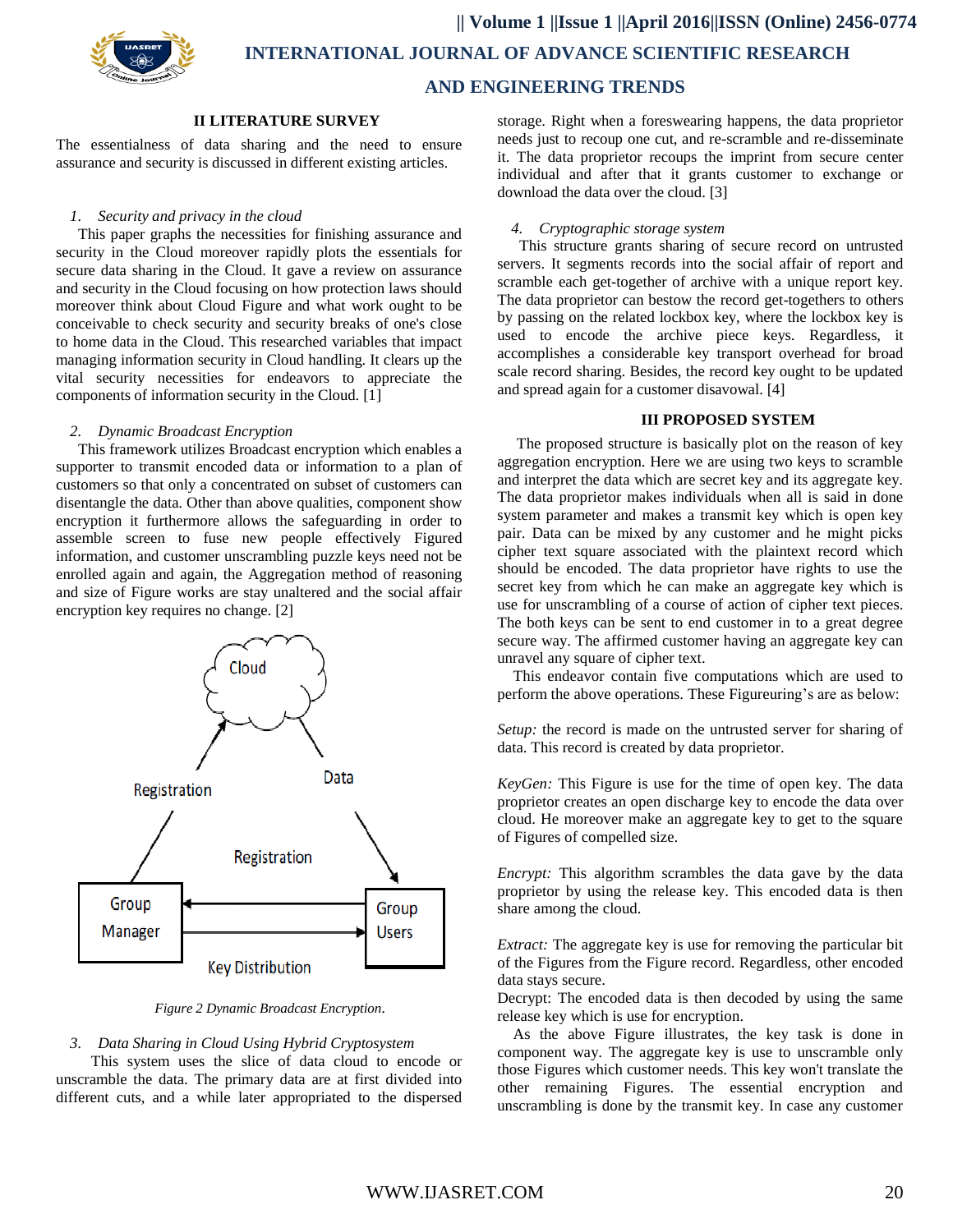

 **|| Volume 1 ||Issue 1 ||April 2016||ISSN (Online) 2456-0774 INTERNATIONAL JOURNAL OF ADVANCE SCIENTIFIC RESEARCH** 

### **AND ENGINEERING TRENDS**

#### **II LITERATURE SURVEY**

The essentialness of data sharing and the need to ensure assurance and security is discussed in different existing articles.

#### *1. Security and privacy in the cloud*

This paper graphs the necessities for finishing assurance and security in the Cloud moreover rapidly plots the essentials for secure data sharing in the Cloud. It gave a review on assurance and security in the Cloud focusing on how protection laws should moreover think about Cloud Figure and what work ought to be conceivable to check security and security breaks of one's close to home data in the Cloud. This researched variables that impact managing information security in Cloud handling. It clears up the vital security necessities for endeavors to appreciate the components of information security in the Cloud. [1]

#### *2. Dynamic Broadcast Encryption*

This framework utilizes Broadcast encryption which enables a supporter to transmit encoded data or information to a plan of customers so that only a concentrated on subset of customers can disentangle the data. Other than above qualities, component show encryption it furthermore allows the safeguarding in order to assemble screen to fuse new people effectively Figured information, and customer unscrambling puzzle keys need not be enrolled again and again, the Aggregation method of reasoning and size of Figure works are stay unaltered and the social affair encryption key requires no change. [2]



*Figure 2 Dynamic Broadcast Encryption*.

#### *3. Data Sharing in Cloud Using Hybrid Cryptosystem*

This system uses the slice of data cloud to encode or unscramble the data. The primary data are at first divided into different cuts, and a while later appropriated to the dispersed

storage. Right when a foreswearing happens, the data proprietor needs just to recoup one cut, and re-scramble and re-disseminate it. The data proprietor recoups the imprint from secure center individual and after that it grants customer to exchange or download the data over the cloud. [3]

#### *4. Cryptographic storage system*

This structure grants sharing of secure record on untrusted servers. It segments records into the social affair of report and scramble each get-together of archive with a unique report key. The data proprietor can bestow the record get-togethers to others by passing on the related lockbox key, where the lockbox key is used to encode the archive piece keys. Regardless, it accomplishes a considerable key transport overhead for broad scale record sharing. Besides, the record key ought to be updated and spread again for a customer disavowal. [4]

#### **III PROPOSED SYSTEM**

 The proposed structure is basically plot on the reason of key aggregation encryption. Here we are using two keys to scramble and interpret the data which are secret key and its aggregate key. The data proprietor makes individuals when all is said in done system parameter and makes a transmit key which is open key pair. Data can be mixed by any customer and he might picks cipher text square associated with the plaintext record which should be encoded. The data proprietor have rights to use the secret key from which he can make an aggregate key which is use for unscrambling of a course of action of cipher text pieces. The both keys can be sent to end customer in to a great degree secure way. The affirmed customer having an aggregate key can unravel any square of cipher text.

This endeavor contain five computations which are used to perform the above operations. These Figureuring's are as below:

*Setup:* the record is made on the untrusted server for sharing of data. This record is created by data proprietor.

*KeyGen:* This Figure is use for the time of open key. The data proprietor creates an open discharge key to encode the data over cloud. He moreover make an aggregate key to get to the square of Figures of compelled size.

*Encrypt:* This algorithm scrambles the data gave by the data proprietor by using the release key. This encoded data is then share among the cloud.

*Extract:* The aggregate key is use for removing the particular bit of the Figures from the Figure record. Regardless, other encoded data stays secure.

Decrypt: The encoded data is then decoded by using the same release key which is use for encryption.

As the above Figure illustrates, the key task is done in component way. The aggregate key is use to unscramble only those Figures which customer needs. This key won't translate the other remaining Figures. The essential encryption and unscrambling is done by the transmit key. In case any customer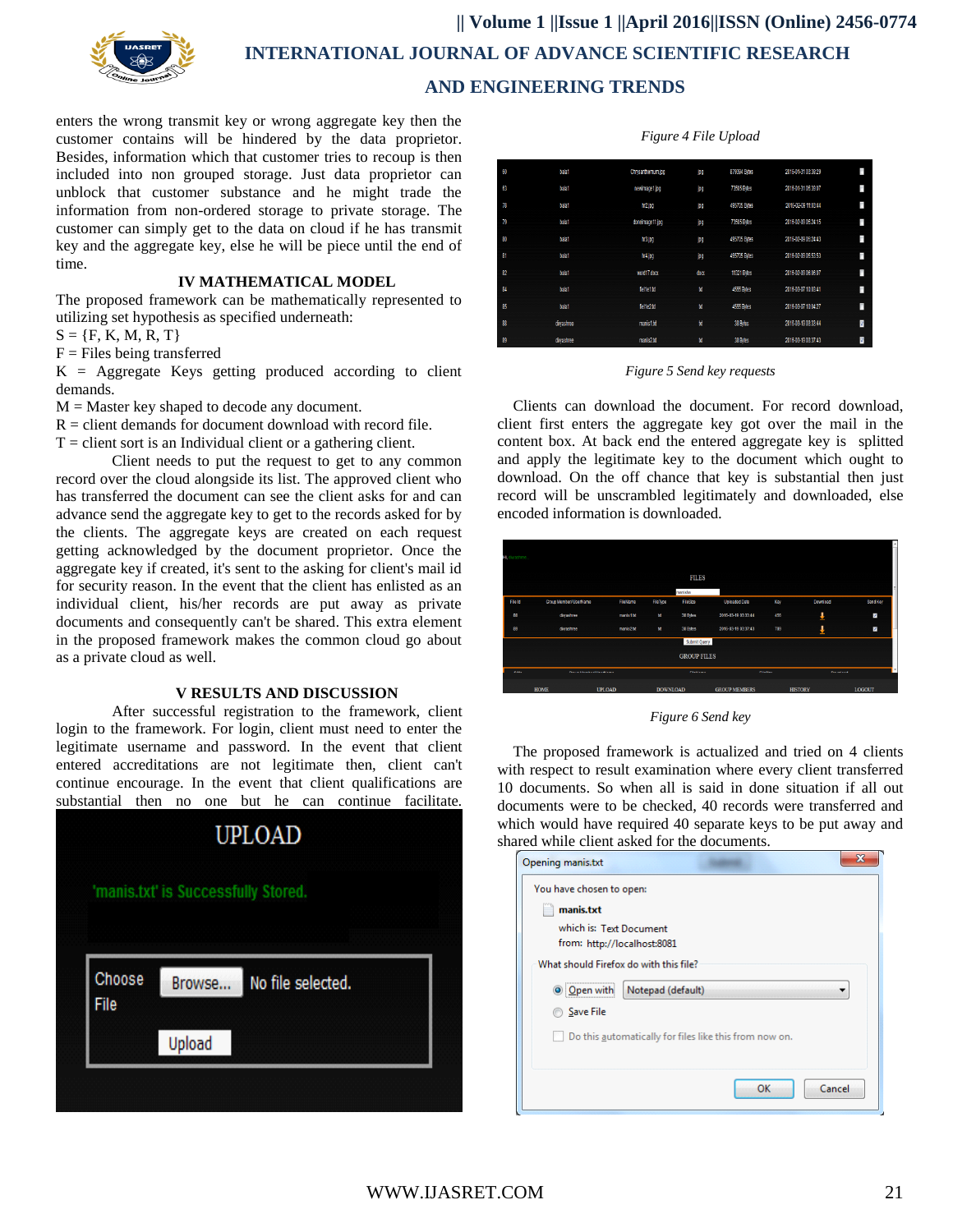

## **|| Volume 1 ||Issue 1 ||April 2016||ISSN (Online) 2456-0774 INTERNATIONAL JOURNAL OF ADVANCE SCIENTIFIC RESEARCH AND ENGINEERING TRENDS**

enters the wrong transmit key or wrong aggregate key then the customer contains will be hindered by the data proprietor. Besides, information which that customer tries to recoup is then included into non grouped storage. Just data proprietor can unblock that customer substance and he might trade the information from non-ordered storage to private storage. The customer can simply get to the data on cloud if he has transmit key and the aggregate key, else he will be piece until the end of time.

#### **IV MATHEMATICAL MODEL**

The proposed framework can be mathematically represented to utilizing set hypothesis as specified underneath:

 $S = \{F, K, M, R, T\}$ 

 $F =$ Files being transferred

 $K = Aggregation$  Keys getting produced according to client demands.

 $M =$  Master key shaped to decode any document.

 $R =$  client demands for document download with record file.

 $T =$  client sort is an Individual client or a gathering client.

Client needs to put the request to get to any common record over the cloud alongside its list. The approved client who has transferred the document can see the client asks for and can advance send the aggregate key to get to the records asked for by the clients. The aggregate keys are created on each request getting acknowledged by the document proprietor. Once the aggregate key if created, it's sent to the asking for client's mail id for security reason. In the event that the client has enlisted as an individual client, his/her records are put away as private documents and consequently can't be shared. This extra element in the proposed framework makes the common cloud go about as a private cloud as well.

#### **V RESULTS AND DISCUSSION**

After successful registration to the framework, client login to the framework. For login, client must need to enter the legitimate username and password. In the event that client entered accreditations are not legitimate then, client can't continue encourage. In the event that client qualifications are substantial then no one but he can continue facilitate.



#### *Figure 4 File Upload*

| ξŪ | balat     | Chrysanthemum.jpg | jN,  | 879394 Bites | 2016-01-31 03:39:29 | F  |
|----|-----------|-------------------|------|--------------|---------------------|----|
| 63 | balat     | newimage1.jpg     | jM,  | 73505 Bites  | 2016-01-31 05:39:07 | C  |
| 78 | balat     | hr2 jpp           | jng  | 495705 Bytes | 2016-02-09 11:03:44 | C  |
| 79 | telat     | doneimage11.jpg   | jng  | 73505 Bites  | 2016-02-09 05:24:15 | n  |
| 80 | balat     | hr3.jpg           | jN,  | 495705 Bytes | 2016-02-09 05:24:43 | f. |
| 81 | balat     | hr4 jpg           | jŊ   | 495705 Bytes | 2016-02-09 05:53:53 | O  |
| 82 | balat     | word17.docx       | docx | 11321 Bites  | 2016-02-09 06:06:07 | O  |
| 84 | balat     | felte1#           | 箧    | 4555 Bries   | 2016-03-07 10:03:41 | D  |
| 85 | balat     | felte2.ttl        | t    | 4565 Bries   | 2016-03-07 10:04:27 | П  |
| 88 | divashree | manis1.bt         | 鸉    | 38 Bitles    | 2016-03-19 03:33:44 | ø  |
| 89 | divastree | maris2td          | tť   | 38 Bytes     | 2016-03-19 03:37:43 | Ø  |

*Figure 5 Send key requests*

Clients can download the document. For record download, client first enters the aggregate key got over the mail in the content box. At back end the entered aggregate key is splitted and apply the legitimate key to the document which ought to download. On the off chance that key is substantial then just record will be unscrambled legitimately and downloaded, else encoded information is downloaded.

| Washree |                                       |               |                 |                    |                      |              |                   |               |
|---------|---------------------------------------|---------------|-----------------|--------------------|----------------------|--------------|-------------------|---------------|
|         |                                       |               |                 | <b>FILES</b>       |                      |              |                   |               |
|         |                                       |               |                 | manisha            |                      |              |                   |               |
| File Id | Group Member/ UserName                | FileName      | FileType        | FileSize           | Uploaded Date        | Key          | Download          | SendKey       |
| 88      | divyashree                            | manis1.bd     | <b>bt</b>       | 38 Bytes           | 2016-03-19 03:33:44  | 456          | J                 | Ø.            |
| 89      | divyashree                            | manis2.bd     | bt              | 38 Bytes           | 2016-03-19 03:37:43  | 789          | ı                 | J             |
|         |                                       |               |                 | Submit Query       |                      |              |                   |               |
|         |                                       |               |                 | <b>GROUP FILES</b> |                      |              |                   |               |
| 0.111   | Pleasure Morrish and Council Laurence |               |                 | <b>PRINTING</b>    |                      | <b>PHONE</b> | <b>Processing</b> |               |
|         | <b>HOME</b>                           | <b>UPLOAD</b> | <b>DOWNLOAD</b> |                    | <b>GROUP MEMBERS</b> |              | <b>HISTORY</b>    | <b>LOGOUT</b> |

*Figure 6 Send key*

The proposed framework is actualized and tried on 4 clients with respect to result examination where every client transferred 10 documents. So when all is said in done situation if all out documents were to be checked, 40 records were transferred and which would have required 40 separate keys to be put away and shared while client asked for the documents.

| manis.txt                              |                                                        |  |  |  |  |
|----------------------------------------|--------------------------------------------------------|--|--|--|--|
| which is: Text Document                |                                                        |  |  |  |  |
| from: http://localhost:8081            |                                                        |  |  |  |  |
| What should Firefox do with this file? |                                                        |  |  |  |  |
| O Open with                            | Notepad (default)                                      |  |  |  |  |
| Save File                              |                                                        |  |  |  |  |
|                                        | Do this automatically for files like this from now on. |  |  |  |  |
|                                        |                                                        |  |  |  |  |